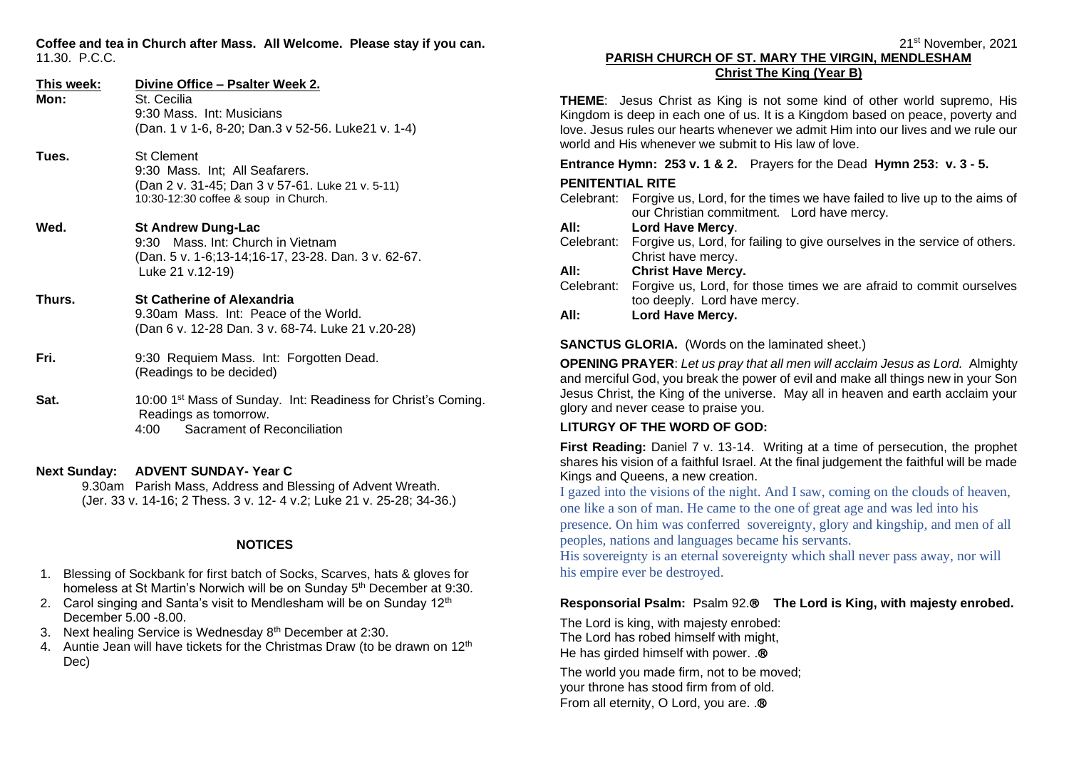**Coffee and tea in Church after Mass. All Welcome. Please stay if you can.** 11.30. P.C.C.

| This week:<br>Mon: | Divine Office - Psalter Week 2.<br>St. Cecilia<br>9:30 Mass. Int: Musicians<br>(Dan. 1 v 1-6, 8-20; Dan.3 v 52-56. Luke21 v. 1-4)               |
|--------------------|-------------------------------------------------------------------------------------------------------------------------------------------------|
| Tues.              | <b>St Clement</b><br>9:30 Mass. Int; All Seafarers.<br>(Dan 2 v. 31-45; Dan 3 v 57-61. Luke 21 v. 5-11)<br>10:30-12:30 coffee & soup in Church. |
| Wed.               | <b>St Andrew Dung-Lac</b><br>9:30 Mass. Int: Church in Vietnam<br>(Dan. 5 v. 1-6;13-14;16-17, 23-28. Dan. 3 v. 62-67.<br>Luke 21 v.12-19)       |
| Thurs.             | <b>St Catherine of Alexandria</b><br>9.30am Mass. Int: Peace of the World.<br>(Dan 6 v. 12-28 Dan. 3 v. 68-74. Luke 21 v. 20-28)                |
| Fri.               | 9:30 Requiem Mass. Int: Forgotten Dead.<br>(Readings to be decided)                                                                             |
| Sat.               | 10:00 1 <sup>st</sup> Mass of Sunday. Int: Readiness for Christ's Coming.<br>Readings as tomorrow.<br>Sacrament of Reconciliation<br>4:00       |

#### **Next Sunday: ADVENT SUNDAY- Year C**

9.30am Parish Mass, Address and Blessing of Advent Wreath. (Jer. 33 v. 14-16; 2 Thess. 3 v. 12- 4 v.2; Luke 21 v. 25-28; 34-36.)

#### **NOTICES**

- 1. Blessing of Sockbank for first batch of Socks, Scarves, hats & gloves for homeless at St Martin's Norwich will be on Sunday 5<sup>th</sup> December at 9:30.
- 2. Carol singing and Santa's visit to Mendlesham will be on Sunday  $12<sup>th</sup>$ December 5.00 -8.00.
- 3. Next healing Service is Wednesday 8<sup>th</sup> December at 2:30.
- 4. Auntie Jean will have tickets for the Christmas Draw (to be drawn on 12<sup>th</sup> Dec)

#### 21 st November, 2021 **PARISH CHURCH OF ST. MARY THE VIRGIN, MENDLESHAM Christ The King (Year B)**

**THEME**: Jesus Christ as King is not some kind of other world supremo, His Kingdom is deep in each one of us. It is a Kingdom based on peace, poverty and love. Jesus rules our hearts whenever we admit Him into our lives and we rule our world and His whenever we submit to His law of love.

# **Entrance Hymn: 253 v. 1 & 2.** Prayers for the Dead **Hymn 253: v. 3 - 5.**

### **PENITENTIAL RITE**

Celebrant: Forgive us, Lord, for the times we have failed to live up to the aims of our Christian commitment. Lord have mercy.

### **All: Lord Have Mercy**.

Celebrant: Forgive us, Lord, for failing to give ourselves in the service of others. Christ have mercy.

### **All: Christ Have Mercy.**

Celebrant: Forgive us, Lord, for those times we are afraid to commit ourselves too deeply. Lord have mercy.

# **All: Lord Have Mercy.**

### **SANCTUS GLORIA.** (Words on the laminated sheet.)

**OPENING PRAYER**: *Let us pray that all men will acclaim Jesus as Lord.* Almighty and merciful God, you break the power of evil and make all things new in your Son Jesus Christ, the King of the universe. May all in heaven and earth acclaim your glory and never cease to praise you.

# **LITURGY OF THE WORD OF GOD:**

**First Reading:** Daniel 7 v. 13-14. Writing at a time of persecution, the prophet shares his vision of a faithful Israel. At the final judgement the faithful will be made Kings and Queens, a new creation.

I gazed into the visions of the night. And I saw, coming on the clouds of heaven, one like a son of man. He came to the one of great age and was led into his presence. On him was conferred sovereignty, glory and kingship, and men of all peoples, nations and languages became his servants.

His sovereignty is an eternal sovereignty which shall never pass away, nor will his empire ever be destroyed.

# **Responsorial Psalm:** Psalm 92. **The Lord is King, with majesty enrobed.**

The Lord is king, with majesty enrobed: The Lord has robed himself with might, He has girded himself with power. . ®

The world you made firm, not to be moved; your throne has stood firm from of old. From all eternity, O Lord, you are. .®